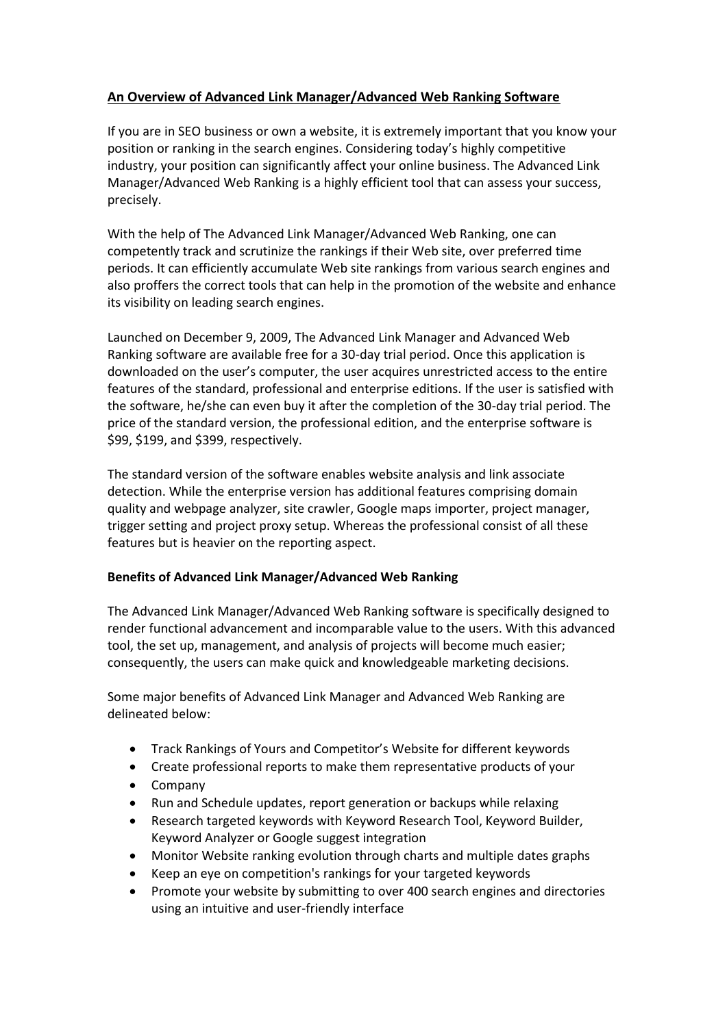## **An Overview of Advanced Link Manager/Advanced Web Ranking Software**

If you are in SEO business or own a website, it is extremely important that you know your position or ranking in the search engines. Considering today's highly competitive industry, your position can significantly affect your online business. The Advanced Link Manager/Advanced Web Ranking is a highly efficient tool that can assess your success, precisely.

With the help of The Advanced Link Manager/Advanced Web Ranking, one can competently track and scrutinize the rankings if their Web site, over preferred time periods. It can efficiently accumulate Web site rankings from various search engines and also proffers the correct tools that can help in the promotion of the website and enhance its visibility on leading search engines.

Launched on December 9, 2009, The Advanced Link Manager and Advanced Web Ranking software are available free for a 30-day trial period. Once this application is downloaded on the user's computer, the user acquires unrestricted access to the entire features of the standard, professional and enterprise editions. If the user is satisfied with the software, he/she can even buy it after the completion of the 30-day trial period. The price of the standard version, the professional edition, and the enterprise software is \$99, \$199, and \$399, respectively.

The standard version of the software enables website analysis and link associate detection. While the enterprise version has additional features comprising domain quality and webpage analyzer, site crawler, Google maps importer, project manager, trigger setting and project proxy setup. Whereas the professional consist of all these features but is heavier on the reporting aspect.

## **Benefits of Advanced Link Manager/Advanced Web Ranking**

The Advanced Link Manager/Advanced Web Ranking software is specifically designed to render functional advancement and incomparable value to the users. With this advanced tool, the set up, management, and analysis of projects will become much easier; consequently, the users can make quick and knowledgeable marketing decisions.

Some major benefits of Advanced Link Manager and Advanced Web Ranking are delineated below:

- Track Rankings of Yours and Competitor's Website for different keywords
- Create professional reports to make them representative products of your
- Company
- Run and Schedule updates, report generation or backups while relaxing
- Research targeted keywords with Keyword Research Tool, Keyword Builder, Keyword Analyzer or Google suggest integration
- Monitor Website ranking evolution through charts and multiple dates graphs
- Keep an eye on competition's rankings for your targeted keywords
- Promote your website by submitting to over 400 search engines and directories using an intuitive and user-friendly interface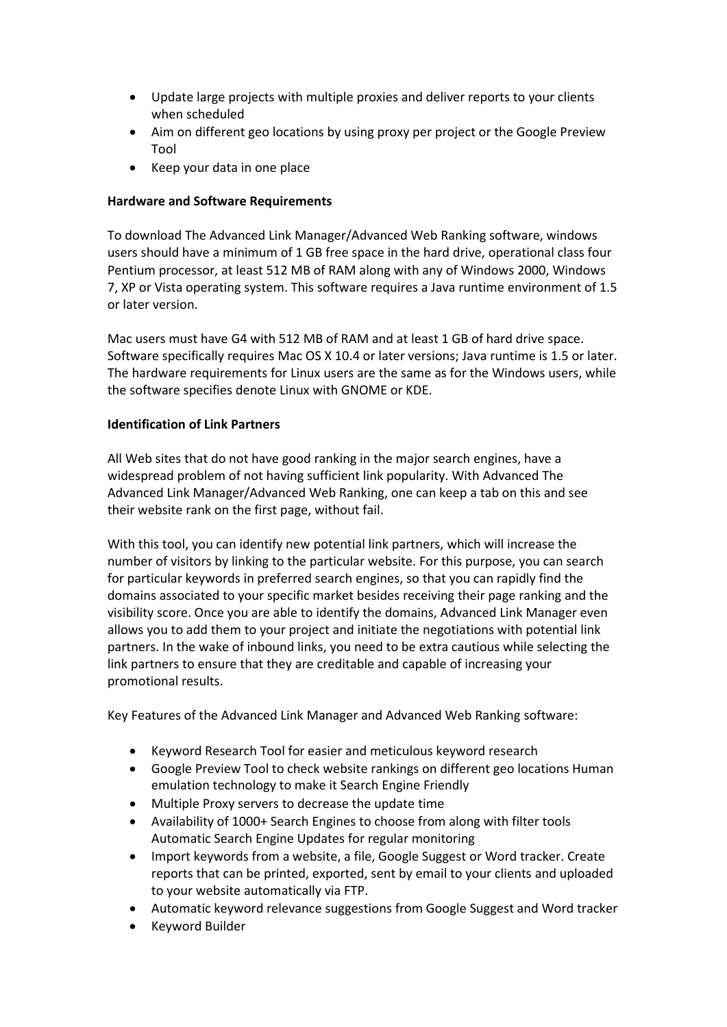- Update large projects with multiple proxies and deliver reports to your clients when scheduled
- Aim on different geo locations by using proxy per project or the Google Preview Tool
- Keep your data in one place

## **Hardware and Software Requirements**

To download The Advanced Link Manager/Advanced Web Ranking software, windows users should have a minimum of 1 GB free space in the hard drive, operational class four Pentium processor, at least 512 MB of RAM along with any of Windows 2000, Windows 7, XP or Vista operating system. This software requires a Java runtime environment of 1.5 or later version.

Mac users must have G4 with 512 MB of RAM and at least 1 GB of hard drive space. Software specifically requires Mac OS X 10.4 or later versions; Java runtime is 1.5 or later. The hardware requirements for Linux users are the same as for the Windows users, while the software specifies denote Linux with GNOME or KDE.

## **Identification of Link Partners**

All Web sites that do not have good ranking in the major search engines, have a widespread problem of not having sufficient link popularity. With Advanced The Advanced Link Manager/Advanced Web Ranking, one can keep a tab on this and see their website rank on the first page, without fail.

With this tool, you can identify new potential link partners, which will increase the number of visitors by linking to the particular website. For this purpose, you can search for particular keywords in preferred search engines, so that you can rapidly find the domains associated to your specific market besides receiving their page ranking and the visibility score. Once you are able to identify the domains, Advanced Link Manager even allows you to add them to your project and initiate the negotiations with potential link partners. In the wake of inbound links, you need to be extra cautious while selecting the link partners to ensure that they are creditable and capable of increasing your promotional results.

Key Features of the Advanced Link Manager and Advanced Web Ranking software:

- Keyword Research Tool for easier and meticulous keyword research
- Google Preview Tool to check website rankings on different geo locations Human emulation technology to make it Search Engine Friendly
- Multiple Proxy servers to decrease the update time
- Availability of 1000+ Search Engines to choose from along with filter tools Automatic Search Engine Updates for regular monitoring
- Import keywords from a website, a file, Google Suggest or Word tracker. Create reports that can be printed, exported, sent by email to your clients and uploaded to your website automatically via FTP.
- Automatic keyword relevance suggestions from Google Suggest and Word tracker
- Keyword Builder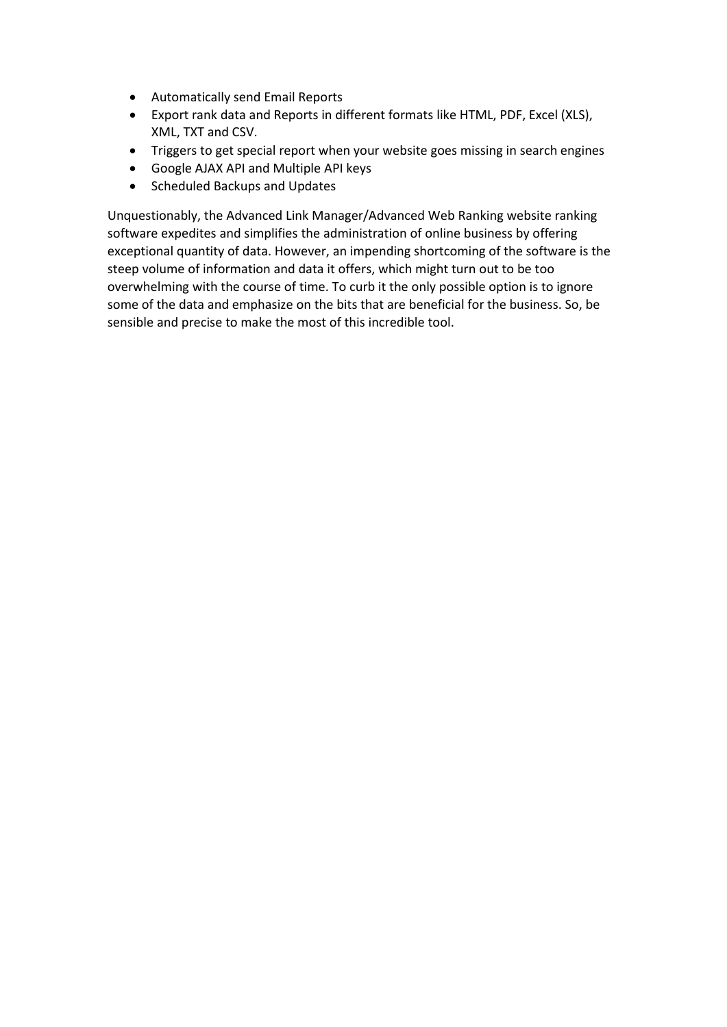- Automatically send Email Reports
- Export rank data and Reports in different formats like HTML, PDF, Excel (XLS), XML, TXT and CSV.
- Triggers to get special report when your website goes missing in search engines
- Google AJAX API and Multiple API keys
- Scheduled Backups and Updates

Unquestionably, the Advanced Link Manager/Advanced Web Ranking website ranking software expedites and simplifies the administration of online business by offering exceptional quantity of data. However, an impending shortcoming of the software is the steep volume of information and data it offers, which might turn out to be too overwhelming with the course of time. To curb it the only possible option is to ignore some of the data and emphasize on the bits that are beneficial for the business. So, be sensible and precise to make the most of this incredible tool.